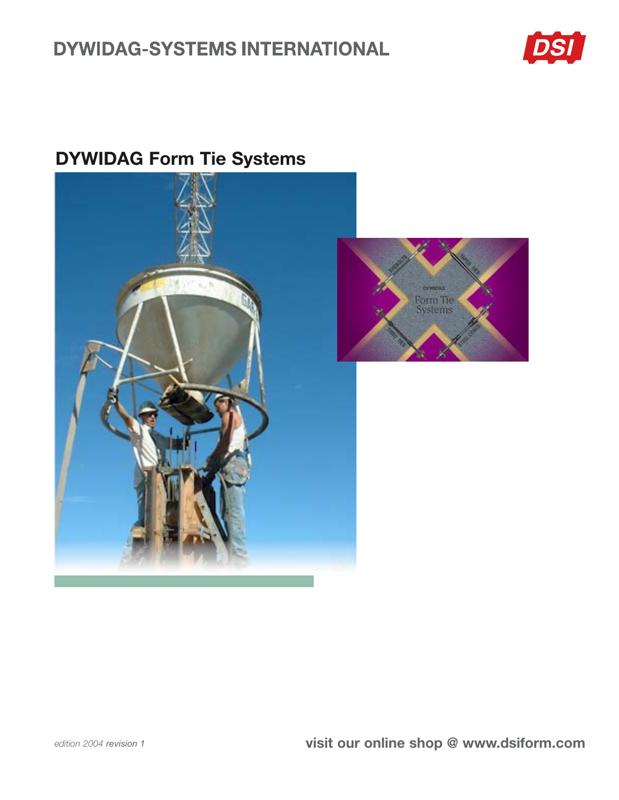# **DYWIDAG-SYSTEMS INTERNATIONAL**



# **DYWIDAG Form Tie Systems**



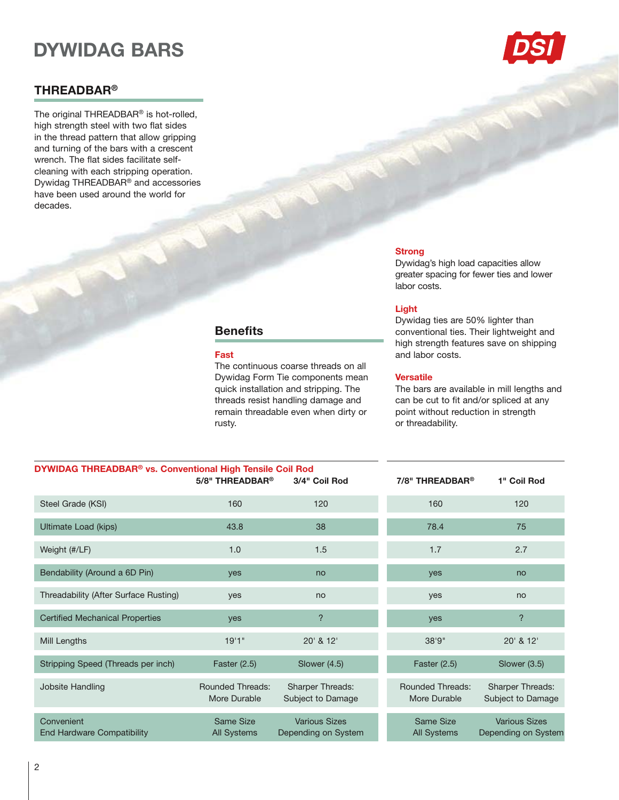# **DYWIDAG BARS**

### **THREADBAR®**

The original THREADBAR® is hot-rolled, high strength steel with two flat sides in the thread pattern that allow gripping and turning of the bars with a crescent wrench. The flat sides facilitate selfcleaning with each stripping operation. Dywidag THREADBAR® and accessories have been used around the world for decades.



### **Strong**

Dywidag's high load capacities allow greater spacing for fewer ties and lower labor costs.

### Light

Dywidag ties are 50% lighter than conventional ties. Their lightweight and high strength features save on shipping and labor costs.

### **Versatile**

The bars are available in mill lengths and can be cut to fit and/or spliced at any point without reduction in strength or threadability.

| DYWIDAG THREADBAR® vs. Conventional High Tensile Coil Rod | 5/8" THREADBAR <sup>®</sup>             | 3/4" Coil Rod                                | $7/8"$ THREADBAR®                       | 1" Coil Rod                                  |  |
|-----------------------------------------------------------|-----------------------------------------|----------------------------------------------|-----------------------------------------|----------------------------------------------|--|
| Steel Grade (KSI)                                         | 160                                     | 120                                          | 160                                     | 120                                          |  |
| Ultimate Load (kips)                                      | 43.8                                    | 38                                           | 78.4                                    | 75                                           |  |
| Weight (#/LF)                                             | 1.0                                     | 1.5                                          | 1.7                                     | 2.7                                          |  |
| Bendability (Around a 6D Pin)                             | yes                                     | no                                           | yes                                     | no                                           |  |
| Threadability (After Surface Rusting)                     | yes                                     | no                                           | yes                                     | no                                           |  |
| <b>Certified Mechanical Properties</b>                    | yes                                     | $\overline{?}$                               | yes                                     | $\overline{?}$                               |  |
| Mill Lengths                                              | 19'1"                                   | 20' & 12'                                    | 38'9''                                  | 20' & 12'                                    |  |
| Stripping Speed (Threads per inch)                        | Faster $(2.5)$                          | Slower (4.5)                                 | Faster $(2.5)$                          | Slower (3.5)                                 |  |
| Jobsite Handling                                          | <b>Rounded Threads:</b><br>More Durable | <b>Sharper Threads:</b><br>Subject to Damage | <b>Rounded Threads:</b><br>More Durable | <b>Sharper Threads:</b><br>Subject to Damage |  |
| Convenient<br>End Hardware Compatibility                  | Same Size<br><b>All Systems</b>         | <b>Various Sizes</b><br>Depending on System  | Same Size<br><b>All Systems</b>         | <b>Various Sizes</b><br>Depending on System  |  |

The continuous coarse threads on all

Dywidag Form Tie components mean

quick installation and stripping. The threads resist handling damage and

remain threadable even when dirty or

**Benefits** 

Fast

rusty.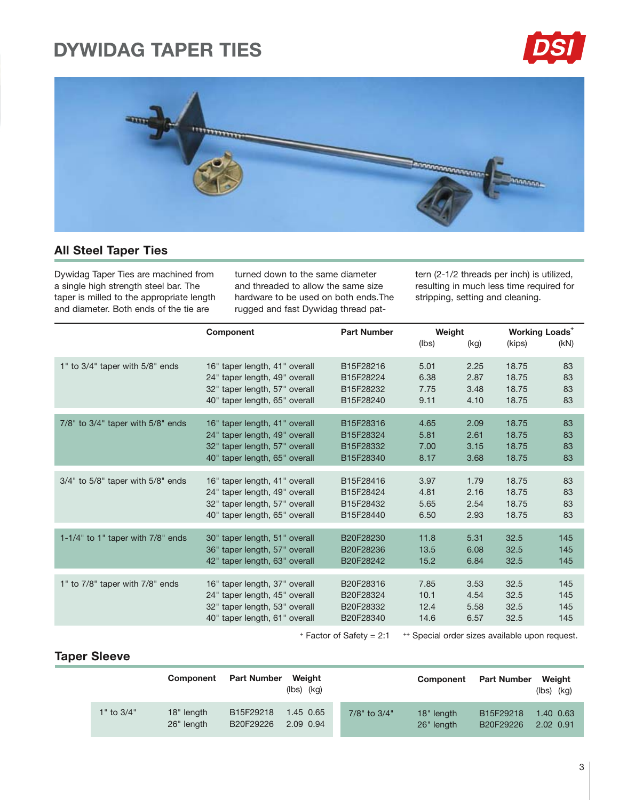# **DYWIDAG TAPER TIES**





### **All Steel Taper Ties**

Dywidag Taper Ties are machined from a single high strength steel bar. The taper is milled to the appropriate length and diameter. Both ends of the tie are

turned down to the same diameter and threaded to allow the same size hardware to be used on both ends. The rugged and fast Dywidag thread pat-

tern (2-1/2 threads per inch) is utilized, resulting in much less time required for stripping, setting and cleaning.

|                                         | Component                     | <b>Part Number</b> | Weight |      | <b>Working Loads<sup>+</sup></b> |      |  |
|-----------------------------------------|-------------------------------|--------------------|--------|------|----------------------------------|------|--|
|                                         |                               |                    | (lbs)  | (kg) | (kips)                           | (KN) |  |
| 1" to 3/4" taper with 5/8" ends         | 16" taper length, 41" overall | B15F28216          | 5.01   | 2.25 | 18.75                            | 83   |  |
|                                         | 24" taper length, 49" overall | B15F28224          | 6.38   | 2.87 | 18.75                            | 83   |  |
|                                         | 32" taper length, 57" overall | B15F28232          | 7.75   | 3.48 | 18.75                            | 83   |  |
|                                         | 40" taper length, 65" overall | B15F28240          | 9.11   | 4.10 | 18.75                            | 83   |  |
| $7/8"$ to $3/4"$ taper with $5/8"$ ends | 16" taper length, 41" overall | B15F28316          | 4.65   | 2.09 | 18.75                            | 83   |  |
|                                         | 24" taper length, 49" overall | B15F28324          | 5.81   | 2.61 | 18.75                            | 83   |  |
|                                         | 32" taper length, 57" overall | B15F28332          | 7.00   | 3.15 | 18.75                            | 83   |  |
|                                         | 40" taper length, 65" overall | B15F28340          | 8.17   | 3.68 | 18.75                            | 83   |  |
| $3/4"$ to $5/8"$ taper with $5/8"$ ends | 16" taper length, 41" overall | B15F28416          | 3.97   | 1.79 | 18.75                            | 83   |  |
|                                         | 24" taper length, 49" overall | B15F28424          | 4.81   | 2.16 | 18.75                            | 83   |  |
|                                         | 32" taper length, 57" overall | B15F28432          | 5.65   | 2.54 | 18.75                            | 83   |  |
|                                         | 40" taper length, 65" overall | B15F28440          | 6.50   | 2.93 | 18.75                            | 83   |  |
| 1-1/4" to 1" taper with $7/8$ " ends    | 30" taper length, 51" overall | B20F28230          | 11.8   | 5.31 | 32.5                             | 145  |  |
|                                         | 36" taper length, 57" overall | B20F28236          | 13.5   | 6.08 | 32.5                             | 145  |  |
|                                         | 42" taper length, 63" overall | B20F28242          | 15.2   | 6.84 | 32.5                             | 145  |  |
| 1" to 7/8" taper with 7/8" ends         | 16" taper length, 37" overall | B20F28316          | 7.85   | 3.53 | 32.5                             | 145  |  |
|                                         | 24" taper length, 45" overall | B20F28324          | 10.1   | 4.54 | 32.5                             | 145  |  |
|                                         | 32" taper length, 53" overall | B20F28332          | 12.4   | 5.58 | 32.5                             | 145  |  |
|                                         | 40" taper length, 61" overall | B20F28340          | 14.6   | 6.57 | 32.5                             | 145  |  |

 $+$  Factor of Safety = 2:1  $+$  Special order sizes available upon request.

### **Taper Sleeve**

|                | Component                | <b>Part Number</b>     | Weiaht<br>$(lbs)$ $(kg)$ |                    | <b>Component</b> Part Number |                                    | Weiaht<br>$(lbs)$ $(kg)$ |  |
|----------------|--------------------------|------------------------|--------------------------|--------------------|------------------------------|------------------------------------|--------------------------|--|
| $1"$ to $3/4"$ | 18" length<br>26" length | B15F29218<br>B20F29226 | 1.45 0.65<br>2.09 0.94   | $7/8$ " to $3/4$ " | 18" length<br>26" length     | B <sub>15F29218</sub><br>B20F29226 | 1.40 0.63<br>2.02 0.91   |  |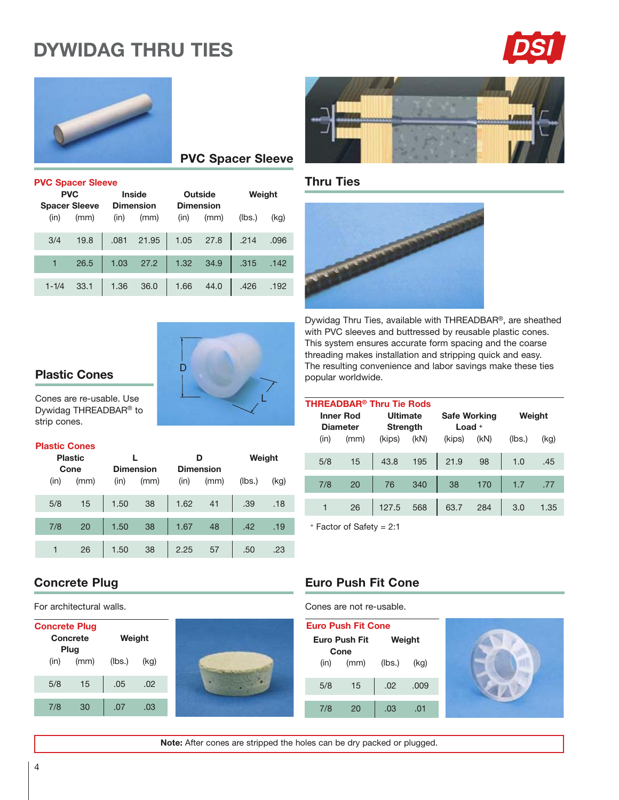# **DYWIDAG THRU TIES**





## **PVC Spacer Sleeve**

|           |                      |      | <b>PVC Spacer Sleeve</b> |      |                  |        |      |  |  |  |  |  |  |  |  |
|-----------|----------------------|------|--------------------------|------|------------------|--------|------|--|--|--|--|--|--|--|--|
|           | <b>PVC</b>           |      | Inside                   |      | Outside          | Weight |      |  |  |  |  |  |  |  |  |
|           | <b>Spacer Sleeve</b> |      | <b>Dimension</b>         |      | <b>Dimension</b> |        |      |  |  |  |  |  |  |  |  |
| (in)      | (mm)                 | (in) | (mm)                     | (in) | (mm)             | (lbs.) | (kq) |  |  |  |  |  |  |  |  |
| 3/4       | 19.8                 | .081 | 21.95                    | 1.05 | 27.8             | .214   | .096 |  |  |  |  |  |  |  |  |
| 1         | 26.5                 | 1.03 | 27.2                     | 1.32 | 34.9             | .315   | .142 |  |  |  |  |  |  |  |  |
| $1 - 1/4$ | 33.1                 | 1.36 | 36.0                     | 1.66 | 44.0             | .426   | .192 |  |  |  |  |  |  |  |  |



### **Plastic Cones**

Cones are re-usable. Use Dywidag THREADBAR® to strip cones.

### **Plastic Cones**

| <b>Plastic</b>       |    |                                  |    |      | D                        | Weight |      |  |
|----------------------|----|----------------------------------|----|------|--------------------------|--------|------|--|
| Cone<br>(in)<br>(mm) |    | <b>Dimension</b><br>(mm)<br>(in) |    | (in) | <b>Dimension</b><br>(mm) | (lbs.) | (kg) |  |
| 5/8                  | 15 | 1.50                             | 38 | 1.62 | 41                       | .39    | .18  |  |
| 7/8                  | 20 | 1.50                             | 38 | 1.67 | 48                       | .42    | .19  |  |
|                      | 26 | 1.50                             | 38 | 2.25 | 57                       | .50    | .23  |  |

### **Thru Ties**



Dywidag Thru Ties, available with THREADBAR®, are sheathed with PVC sleeves and buttressed by reusable plastic cones. This system ensures accurate form spacing and the coarse threading makes installation and stripping quick and easy. The resulting convenience and labor savings make these ties popular worldwide.

| <b>Safe Working</b><br><b>Ultimate</b><br><b>Inner Rod</b><br>Load $+$<br><b>Diameter</b><br><b>Strength</b> | Weight |  |  |
|--------------------------------------------------------------------------------------------------------------|--------|--|--|
| (KN)<br>(KN)<br>(lbs.)<br>(kg)<br>(kips)<br>(kips)<br>(in)<br>(mm)                                           |        |  |  |
| 43.8<br>195<br>98<br>21.9<br>5/8<br>15<br>1.0<br>.45                                                         |        |  |  |
| 340<br>20<br>38<br>7/8<br>76<br>170<br>1.7<br>.77                                                            |        |  |  |
| 127.5<br>568<br>284<br>63.7<br>26<br>3.0<br>1.35                                                             |        |  |  |

+ Factor of Safety = 2:1

### **Concrete Plug**

For architectural walls.

| <b>Concrete Plug</b> | Concrete<br>Plug | Weight |      |  |
|----------------------|------------------|--------|------|--|
| (in)                 | (mm)             | (lbs.) | (kg) |  |
| 5/8                  | 15               | .05    | .02  |  |
| 7/8                  | 30               | .07    | .03  |  |



### **Euro Push Fit Cone**

Cones are not re-usable.

| <b>Euro Push Fit Cone</b> |                      |      |        |      |  |  |  |  |  |
|---------------------------|----------------------|------|--------|------|--|--|--|--|--|
|                           | <b>Euro Push Fit</b> |      | Weight |      |  |  |  |  |  |
|                           | Cone<br>(in)         | (mm) | (lbs.) | (kq) |  |  |  |  |  |
| 5/8                       |                      | 15   | .02    | .009 |  |  |  |  |  |
| 7/8                       |                      | 20   | .03    | .01  |  |  |  |  |  |



Note: After cones are stripped the holes can be dry packed or plugged.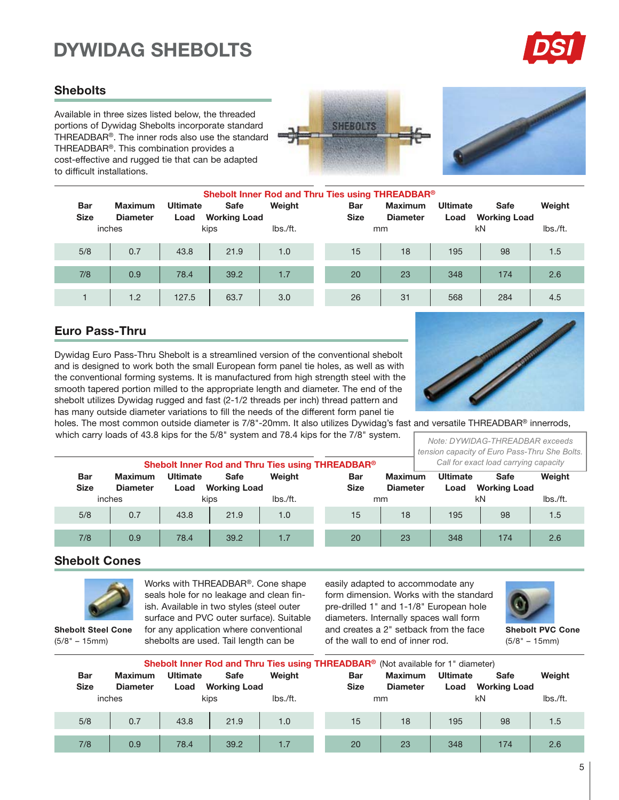# **DYWIDAG SHEBOLTS**



### **Shebolts**

Available in three sizes listed below, the threaded portions of Dywidag Shebolts incorporate standard THREADBAR®. The inner rods also use the standard THREADBAR<sup>®</sup>. This combination provides a cost-effective and rugged tie that can be adapted to difficult installations.





|                           |                                   |                         |                                    |          | Shebolt Inner Rod and Thru Ties using THREADBAR® |                                   |                         |                                    |          |
|---------------------------|-----------------------------------|-------------------------|------------------------------------|----------|--------------------------------------------------|-----------------------------------|-------------------------|------------------------------------|----------|
| <b>Bar</b><br><b>Size</b> | <b>Maximum</b><br><b>Diameter</b> | <b>Ultimate</b><br>Load | <b>Safe</b><br><b>Working Load</b> | Weight   | <b>Bar</b><br><b>Size</b>                        | <b>Maximum</b><br><b>Diameter</b> | <b>Ultimate</b><br>Load | <b>Safe</b><br><b>Working Load</b> | Weight   |
|                           | inches                            |                         | kips                               | lbs./ft. |                                                  | mm                                |                         | kN                                 | lbs./ft. |
| 5/8                       | 0.7                               | 43.8                    | 21.9                               | 1.0      | 15                                               | 18                                | 195                     | 98                                 | 1.5      |
| 7/8                       | 0.9                               | 78.4                    | 39.2                               | 1.7      | 20                                               | 23                                | 348                     | 174                                | 2.6      |
|                           | 1.2                               | 127.5                   | 63.7                               | 3.0      | 26                                               | 31                                | 568                     | 284                                | 4.5      |

### **Euro Pass-Thru**

Dywidag Euro Pass-Thru Shebolt is a streamlined version of the conventional shebolt and is designed to work both the small European form panel tie holes, as well as with the conventional forming systems. It is manufactured from high strength steel with the smooth tapered portion milled to the appropriate length and diameter. The end of the shebolt utilizes Dywidag rugged and fast (2-1/2 threads per inch) thread pattern and has many outside diameter variations to fill the needs of the different form panel tie



holes. The most common outside diameter is 7/8"-20mm. It also utilizes Dywidag's fast and versatile THREADBAR® innerrods, which carry loads of 43.8 kips for the 5/8" system and 78.4 kips for the 7/8" system.

| Note: DYWIDAG-THREADBAR exceeds               |
|-----------------------------------------------|
| tension capacity of Euro Pass-Thru She Bolts. |
| Call for exact load carrying capacity         |

|             |                 |                 | Shebolt Inner Rod and Thru Ties using THREADBAR® |          | Call for exact load carrying capacity |                 |                 |                     |          |
|-------------|-----------------|-----------------|--------------------------------------------------|----------|---------------------------------------|-----------------|-----------------|---------------------|----------|
| <b>Bar</b>  | <b>Maximum</b>  | <b>Ultimate</b> | Safe                                             | Weight   | <b>Bar</b>                            | <b>Maximum</b>  | <b>Ultimate</b> | <b>Safe</b>         | Weight   |
| <b>Size</b> | <b>Diameter</b> | Load            | <b>Working Load</b>                              |          | <b>Size</b>                           | <b>Diameter</b> | Load            | <b>Working Load</b> |          |
|             | inches          |                 | kips                                             | lbs./ft. |                                       | mm              |                 | kN                  | lbs./ft. |
| 5/8         | 0.7             | 43.8            | 21.9                                             | 1.0      | 15                                    | 18              | 195             | 98                  | 1.5      |
| 7/8         | 0.9             | 78.4            | 39.2                                             | 1.7      | 20                                    | 23              | 348             | 174                 | 2.6      |

### **Shebolt Cones**



 $(5/8" - 15mm)$ 

Works with THREADBAR®. Cone shape seals hole for no leakage and clean finish. Available in two styles (steel outer surface and PVC outer surface). Suitable for any application where conventional shebolts are used. Tail length can be

easily adapted to accommodate any form dimension. Works with the standard pre-drilled 1" and 1-1/8" European hole diameters. Internally spaces wall form and creates a 2" setback from the face of the wall to end of inner rod.



**Shebolt PVC Cone**  $(5/8" - 15mm)$ 

|             | Shebolt Inner Rod and Thru Ties using THREADBAR <sup>®</sup> (Not available for 1" diameter) |                 |                     |          |  |             |                 |                 |                     |          |  |  |  |
|-------------|----------------------------------------------------------------------------------------------|-----------------|---------------------|----------|--|-------------|-----------------|-----------------|---------------------|----------|--|--|--|
| <b>Bar</b>  | <b>Maximum</b>                                                                               | <b>Ultimate</b> | Safe                | Weight   |  | <b>Bar</b>  | <b>Maximum</b>  | <b>Ultimate</b> | Safe                | Weight   |  |  |  |
| <b>Size</b> | <b>Diameter</b>                                                                              | Load            | <b>Working Load</b> |          |  | <b>Size</b> | <b>Diameter</b> | Load            | <b>Working Load</b> |          |  |  |  |
|             | inches                                                                                       |                 | kips                | lbs./ft. |  |             | mm              |                 | kN                  | lbs./ft. |  |  |  |
| 5/8         | 0.7                                                                                          | 43.8            | 21.9                | 1.0      |  | 15          | 18              | 195             | 98                  | 1.5      |  |  |  |
|             |                                                                                              |                 |                     |          |  |             |                 |                 |                     |          |  |  |  |
| 7/8         | 0.9                                                                                          | 78.4            | 39.2                | 1.7      |  | 20          | 23              | 348             | 174                 | 2.6      |  |  |  |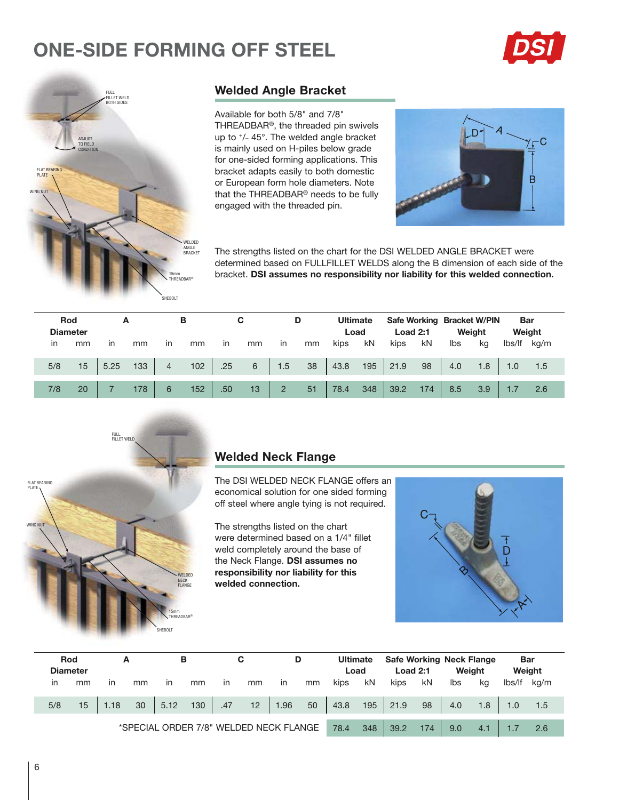# **ONE-SIDE FORMING OFF STEEL**





### **Welded Angle Bracket**

Available for both 5/8" and 7/8" THREADBAR®, the threaded pin swivels up to +/- 45°. The welded angle bracket is mainly used on H-piles below grade for one-sided forming applications. This bracket adapts easily to both domestic or European form hole diameters. Note that the THREADBAR® needs to be fully engaged with the threaded pin.



The strengths listed on the chart for the DSI WELDED ANGLE BRACKET were determined based on FULLFILLET WELDS along the B dimension of each side of the bracket. DSI assumes no responsibility nor liability for this welded connection.

|     | Rod<br><b>Diameter</b> |      | А   |                | в   |           | С  |                | D  |      | <b>Ultimate</b><br>Load | <b>Load 2:1</b> |     |     | Safe Working Bracket W/PIN<br>Weight | <b>Bar</b> | Weight |
|-----|------------------------|------|-----|----------------|-----|-----------|----|----------------|----|------|-------------------------|-----------------|-----|-----|--------------------------------------|------------|--------|
| ın  | mm                     | in   | mm  | $\mathsf{I}$   | mm  | <i>in</i> | mm | in             | mm | kips | kN                      | kips            | kN  | Ibs | kg                                   | lbs/lf     | ka/m   |
| 5/8 | 15                     | 5.25 | 133 | $\overline{4}$ | 102 | .25       | 6  | 1.5            | 38 | 43.8 | 195                     | 21.9            | 98  | 4.0 | 1.8                                  | 1.0        | 1.5    |
| 7/8 | 20                     |      | 178 | 6              | 152 | .50       | 13 | $\overline{2}$ | 51 | 78.4 | 348                     | 39.2            | 174 | 8.5 | 3.9                                  |            | 2.6    |



### **Welded Neck Flange**

The DSI WELDED NECK FLANGE offers an economical solution for one sided forming off steel where angle tying is not required.

The strengths listed on the chart were determined based on a 1/4" fillet weld completely around the base of the Neck Flange. DSI assumes no responsibility nor liability for this welded connection.



|     | Rod             | А    |    |               | в   |              | С                                      |               | D  | <b>Ultimate</b> |     | <b>Safe Working Neck Flange</b> |     |        |     | <b>Bar</b> |      |
|-----|-----------------|------|----|---------------|-----|--------------|----------------------------------------|---------------|----|-----------------|-----|---------------------------------|-----|--------|-----|------------|------|
|     | <b>Diameter</b> |      |    |               |     |              |                                        |               |    | Load            |     | <b>Load 2:1</b>                 |     | Weight |     | Weight     |      |
| in  | mm              | in   | mm | $\mathsf{in}$ | mm  | $\mathsf{I}$ | mm                                     | $\mathsf{In}$ | mm | kips            | kN  | kips                            | kN  | lbs    | kg  | lbs/lf     | kg/m |
|     |                 |      |    |               |     |              |                                        |               |    |                 |     |                                 |     |        |     |            |      |
| 5/8 | 15              | 1.18 | 30 | 5.12          | 130 | .47          | 12                                     | 1.96          | 50 | 43.8            | 195 | 21.9                            | 98  | 4.0    | 1.8 |            | 1.5  |
|     |                 |      |    |               |     |              |                                        |               |    |                 |     |                                 |     |        |     |            |      |
|     |                 |      |    |               |     |              | *SPECIAL ORDER 7/8" WELDED NECK FLANGE |               |    | 78.4            | 348 | 39.2                            | 174 | 9.0    | 4.1 |            | 2.6  |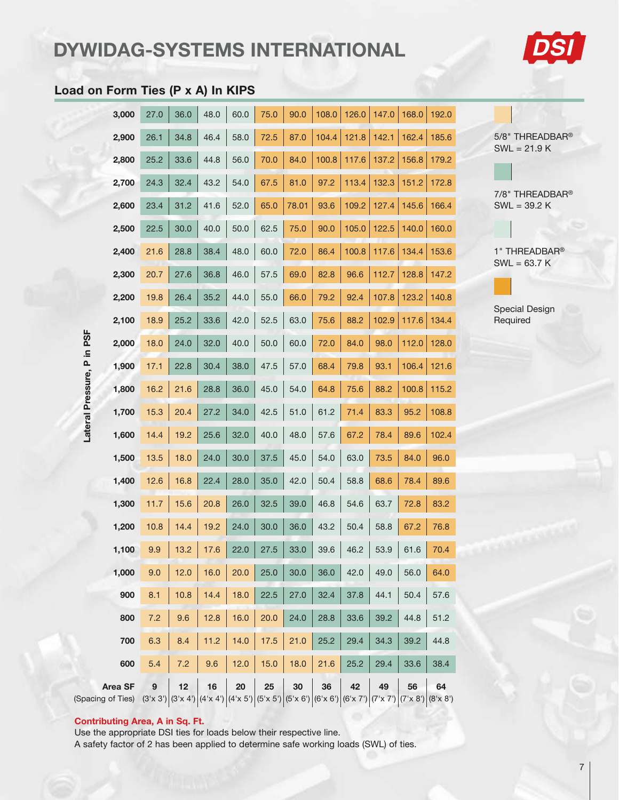# DYWIDAG-SYSTEMS INTERNATIONAL



### Load on Form Ties (P x A) In KIPS

|                   | 3,000                               | 27.0 | 36.0                                                                                                        | 48.0 | 60.0 | 75.0 | 90.0  | 108.0 | 126.0 | 147.0 | 168.0 | 192.0 |  |
|-------------------|-------------------------------------|------|-------------------------------------------------------------------------------------------------------------|------|------|------|-------|-------|-------|-------|-------|-------|--|
|                   | 2,900                               | 26.1 | 34.8                                                                                                        | 46.4 | 58.0 | 72.5 | 87.0  | 104.4 | 121.8 | 142.1 | 162.4 | 185.6 |  |
|                   | 2,800                               | 25.2 | 33.6                                                                                                        | 44.8 | 56.0 | 70.0 | 84.0  | 100.8 | 117.6 | 137.2 | 156.8 | 179.2 |  |
|                   | 2,700                               | 24.3 | 32.4                                                                                                        | 43.2 | 54.0 | 67.5 | 81.0  | 97.2  | 113.4 | 132.3 | 151.2 | 172.8 |  |
|                   | 2,600                               | 23.4 | 31.2                                                                                                        | 41.6 | 52.0 | 65.0 | 78.01 | 93.6  | 109.2 | 127.4 | 145.6 | 166.4 |  |
|                   | 2,500                               | 22.5 | 30.0                                                                                                        | 40.0 | 50.0 | 62.5 | 75.0  | 90.0  | 105.0 | 122.5 | 140.0 | 160.0 |  |
|                   | 2,400                               | 21.6 | 28.8                                                                                                        | 38.4 | 48.0 | 60.0 | 72.0  | 86.4  | 100.8 | 117.6 | 134.4 | 153.6 |  |
|                   | 2,300                               | 20.7 | 27.6                                                                                                        | 36.8 | 46.0 | 57.5 | 69.0  | 82.8  | 96.6  | 112.7 | 128.8 | 147.2 |  |
|                   | 2,200                               | 19.8 | 26.4                                                                                                        | 35.2 | 44.0 | 55.0 | 66.0  | 79.2  | 92.4  | 107.8 | 123.2 | 140.8 |  |
|                   | 2,100                               | 18.9 | 25.2                                                                                                        | 33.6 | 42.0 | 52.5 | 63.0  | 75.6  | 88.2  | 102.9 | 117.6 | 134.4 |  |
| PSF<br>≘.         | 2,000                               | 18.0 | 24.0                                                                                                        | 32.0 | 40.0 | 50.0 | 60.0  | 72.0  | 84.0  | 98.0  | 112.0 | 128.0 |  |
| o.                | 1,900                               | 17.1 | 22.8                                                                                                        | 30.4 | 38.0 | 47.5 | 57.0  | 68.4  | 79.8  | 93.1  | 106.4 | 121.6 |  |
|                   | 1,800                               | 16.2 | 21.6                                                                                                        | 28.8 | 36.0 | 45.0 | 54.0  | 64.8  | 75.6  | 88.2  | 100.8 | 115.2 |  |
| Lateral Pressure, | 1,700                               | 15.3 | 20.4                                                                                                        | 27.2 | 34.0 | 42.5 | 51.0  | 61.2  | 71.4  | 83.3  | 95.2  | 108.8 |  |
|                   | 1,600                               | 14.4 | 19.2                                                                                                        | 25.6 | 32.0 | 40.0 | 48.0  | 57.6  | 67.2  | 78.4  | 89.6  | 102.4 |  |
|                   | 1,500                               | 13.5 | 18.0                                                                                                        | 24.0 | 30.0 | 37.5 | 45.0  | 54.0  | 63.0  | 73.5  | 84.0  | 96.0  |  |
|                   | 1,400                               | 12.6 | 16.8                                                                                                        | 22.4 | 28.0 | 35.0 | 42.0  | 50.4  | 58.8  | 68.6  | 78.4  | 89.6  |  |
|                   | 1,300                               | 11.7 | 15.6                                                                                                        | 20.8 | 26.0 | 32.5 | 39.0  | 46.8  | 54.6  | 63.7  | 72.8  | 83.2  |  |
|                   | 1,200                               | 10.8 | 14.4                                                                                                        | 19.2 | 24.0 | 30.0 | 36.0  | 43.2  | 50.4  | 58.8  | 67.2  | 76.8  |  |
|                   | 1,100                               | 9.9  | 13.2                                                                                                        | 17.6 | 22.0 | 27.5 | 33.0  | 39.6  | 46.2  | 53.9  | 61.6  | 70.4  |  |
|                   | 1,000                               | 9.0  | 12.0                                                                                                        | 16.0 | 20.0 | 25.0 | 30.0  | 36.0  | 42.0  | 49.0  | 56.0  | 64.0  |  |
|                   | 900                                 | 8.1  | 10.8                                                                                                        | 14.4 | 18.0 | 22.5 | 27.0  | 32.4  | 37.8  | 44.1  | 50.4  | 57.6  |  |
|                   | 800                                 | 7.2  | 9.6                                                                                                         | 12.8 | 16.0 | 20.0 | 24.0  | 28.8  | 33.6  | 39.2  | 44.8  | 51.2  |  |
|                   | 700                                 | 6.3  | 8.4                                                                                                         | 11.2 | 14.0 | 17.5 | 21.0  | 25.2  | 29.4  | 34.3  | 39.2  | 44.8  |  |
|                   | 600                                 | 5.4  | 7.2                                                                                                         | 9.6  | 12.0 | 15.0 | 18.0  | 21.6  | 25.2  | 29.4  | 33.6  | 38.4  |  |
|                   | <b>Area SF</b><br>(Spacing of Ties) | 9    | 12<br>$(3'x 3') (3'x 4') (4'x 4') (4'x 5') (5'x 5') (5'x 6') (6'x 6') (6'x 7') (7'x 7') (7'x 8') (8'x 8') $ | 16   | 20   | 25   | 30    | 36    | 42    | 49    | 56    | 64    |  |

### 5/8" THREADBAR®  $SWL = 21.9 K$

7/8" THREADBAR®  $SWL = 39.2 K$ 

1" THREADBAR®  $SWL = 63.7 K$ 

Special Design Required

# Lateral Pressure, P in PSF

### Contributing Area, A in Sq. Ft.

Use the appropriate DSI ties for loads below their respective line. A safety factor of 2 has been applied to determine safe working loads (SWL) of ties.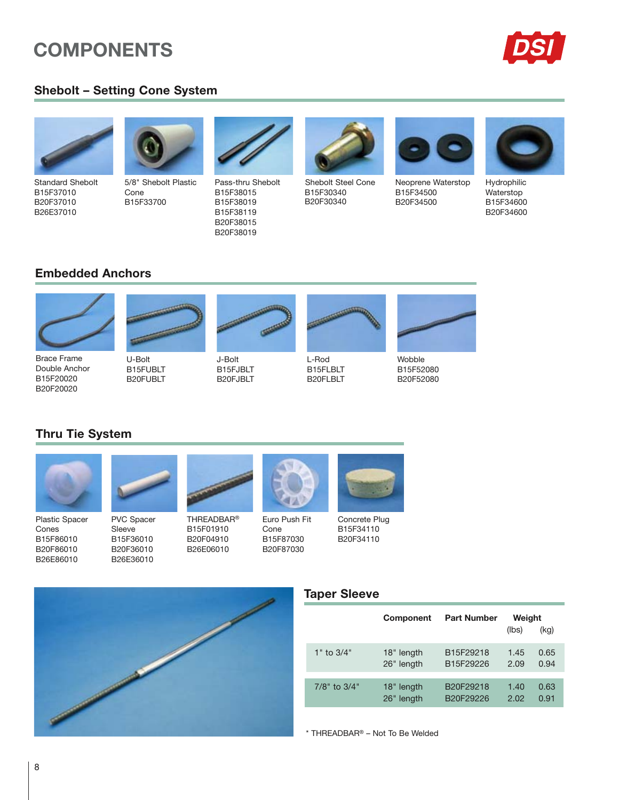# **COMPONENTS**



### **Shebolt - Setting Cone System**



**Standard Shebolt** B15F37010 B20F37010 B26E37010



5/8" Shebolt Plastic Cone B15F33700



Pass-thru Shebolt B15F38015 B15F38019 B15F38119 B20F38015 B20F38019



Shebolt Steel Cone B15F30340 B20F30340



Neoprene Waterstop B15F34500 B20F34500



Hydrophilic Waterstop B15F34600 B20F34600

### **Embedded Anchors**



Double Anchor

B15F20020

B20F20020



B15FJBLT B20FJBLT



L-Rod

B15FLBLT B20FLBLT



Wobble B15F52080 B20F52080

# **Thru Tie System**



**Plastic Spacer** Cones B15F86010 B20F86010 B26E86010



U-Bolt

B15FUBLT

B20FUBLT

B15F36010 B20F36010 B26E36010



**THREADBAR®** B15F01910 Cone B20F04910 B15F87030 B26E06010 B20F87030



Concrete Plug B15F34110 B20F34110



### **Taper Sleeve**

|                    | Component  | <b>Part Number</b> | Weight<br>(lbs) | (kg) |
|--------------------|------------|--------------------|-----------------|------|
| $1"$ to $3/4"$     | 18" length | B15F29218          | 1.45            | 0.65 |
|                    | 26" length | B15F29226          | 2.09            | 0.94 |
| $7/8$ " to $3/4$ " | 18" length | B20F29218          | 1.40            | 0.63 |
|                    | 26" length | B20F29226          | 2.02            | 0.91 |

\* THREADBAR® - Not To Be Welded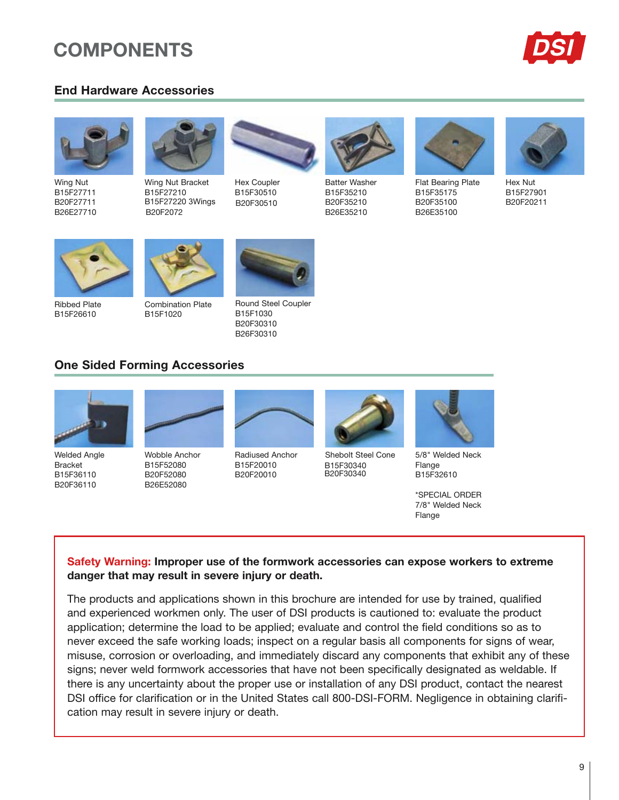# **COMPONENTS**

### **End Hardware Accessories**





Wing Nut B15F27711 B20F27711 B26E27710



Wing Nut Bracket B15F27210 B15F27220 3Wings B20F2072



Hex Coupler B15F30510 B20F30510



**Batter Washer** B15F35210 B20F35210 B26E35210



Flat Bearing Plate B15F35175 B20F35100 B26E35100



Hex Nut B15F27901 B20F20211



**Ribbed Plate** B15F26610

**Combination Plate** B15F1020



**Round Steel Coupler** 



B15F1030 B20F30310 B26F30310

### **One Sided Forming Accessories**



**Welded Angle Bracket** B15F36110 B20F36110



Wobble Anchor B15E52080 B20F52080 B26E52080



**Radiused Anchor** B15E20010 B20F20010



B15E30340 B20F30340



5/8" Welded Neck Flange B15F32610

\*SPECIAL ORDER 7/8" Welded Neck Flange

### Safety Warning: Improper use of the formwork accessories can expose workers to extreme danger that may result in severe injury or death.

The products and applications shown in this brochure are intended for use by trained, qualified and experienced workmen only. The user of DSI products is cautioned to: evaluate the product application; determine the load to be applied; evaluate and control the field conditions so as to never exceed the safe working loads; inspect on a regular basis all components for signs of wear, misuse, corrosion or overloading, and immediately discard any components that exhibit any of these signs; never weld formwork accessories that have not been specifically designated as weldable. If there is any uncertainty about the proper use or installation of any DSI product, contact the nearest DSI office for clarification or in the United States call 800-DSI-FORM. Negligence in obtaining clarification may result in severe injury or death.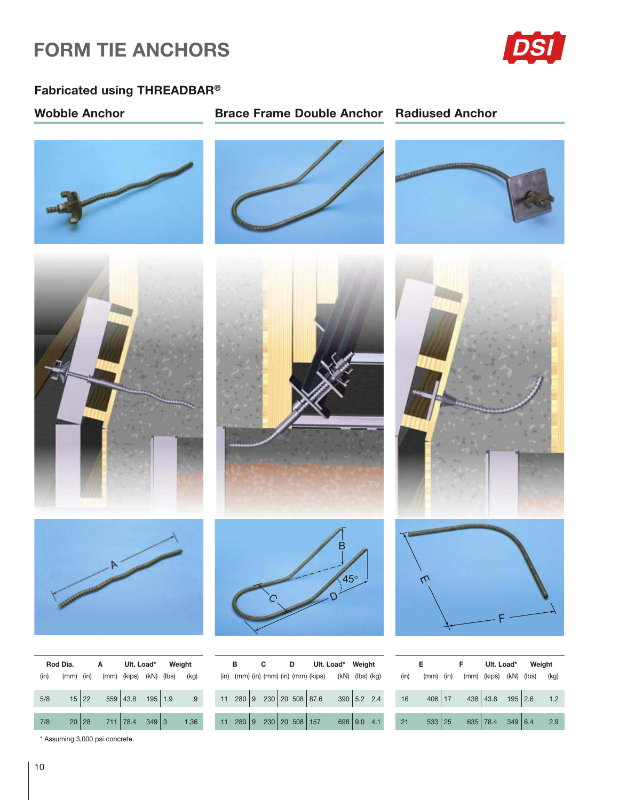# **FORM TIE ANCHORS**



### Fabricated using THREADBAR®

**Wobble Anchor** 

### **Brace Frame Double Anchor Radiused Anchor**







|     | Rod Dia. |                                            |  | A Ult. Load* Weight |  |  |
|-----|----------|--------------------------------------------|--|---------------------|--|--|
|     |          | (in) (mm) (in) (mm) (kips) (kN) (lbs) (kg) |  |                     |  |  |
|     |          | $5/8$ 15 22 559 43.8 195 1.9 9             |  |                     |  |  |
| 7/8 |          | 20 28 711 78.4 349 3 1.36                  |  |                     |  |  |

\* Assuming 3,000 psi concrete.







| B |  |  | C D Ult. Load* Weight                                            |  |  |  |
|---|--|--|------------------------------------------------------------------|--|--|--|
|   |  |  | $(in)$ (mm) $(in)$ (mm) $(in)$ (mm) $(kips)$ (kN) $(lbs)$ $(kg)$ |  |  |  |
|   |  |  |                                                                  |  |  |  |
|   |  |  | 11 280 9 230 20 508 87.6 390 5.2 2.4                             |  |  |  |
|   |  |  |                                                                  |  |  |  |
|   |  |  | 11 280 9 230 20 508 157 698 9.0 4.1                              |  |  |  |







| E.                                                               |  |  | F Ult. Load* Weight |  |  |
|------------------------------------------------------------------|--|--|---------------------|--|--|
| (in) (mm) (in) (mm) (kips) (kN) (lbs) (kg)                       |  |  |                     |  |  |
| 16 $406 \begin{vmatrix} 17 & 438 \end{vmatrix} 43.8$ 195 2.6 1.2 |  |  |                     |  |  |
| 21   533   25   635   78.4   349   6.4   2.9                     |  |  |                     |  |  |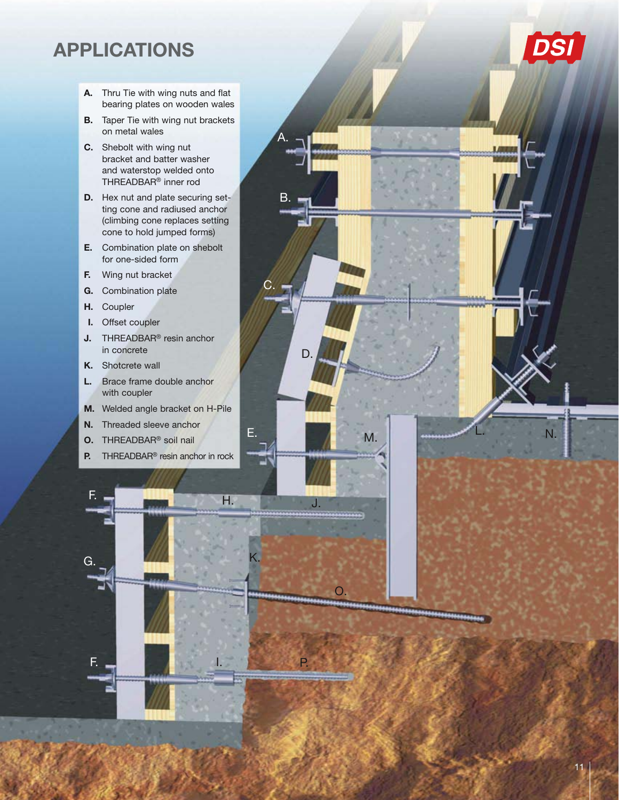# **APPLICATIONS**

- A. Thru Tie with wing nuts and flat bearing plates on wooden wales
- **B.** Taper Tie with wing nut brackets on metal wales
- C. Shebolt with wing nut bracket and batter washer and waterstop welded onto THREADBAR<sup>®</sup> inner rod
- D. Hex nut and plate securing setting cone and radiused anchor (climbing cone replaces setting cone to hold jumped forms)

 $\mathsf{B}$ .

D

 $\overline{P}$ 

M.

Ε.

 $\overline{\phantom{0}}$ 

- E. Combination plate on shebolt for one-sided form
- Wing nut bracket E.
- G. Combination plate
- H. Coupler
- Offset coupler L.
- J. THREADBAR® resin anchor in concrete
- K. Shotcrete wall
- Brace frame double anchor L. with coupler
- M. Welded angle bracket on H-Pile
- Threaded sleeve anchor N.
- O. THREADBAR® soil nail
- THREADBAR<sup>®</sup> resin anchor in rock P.



**DSI** 

N.